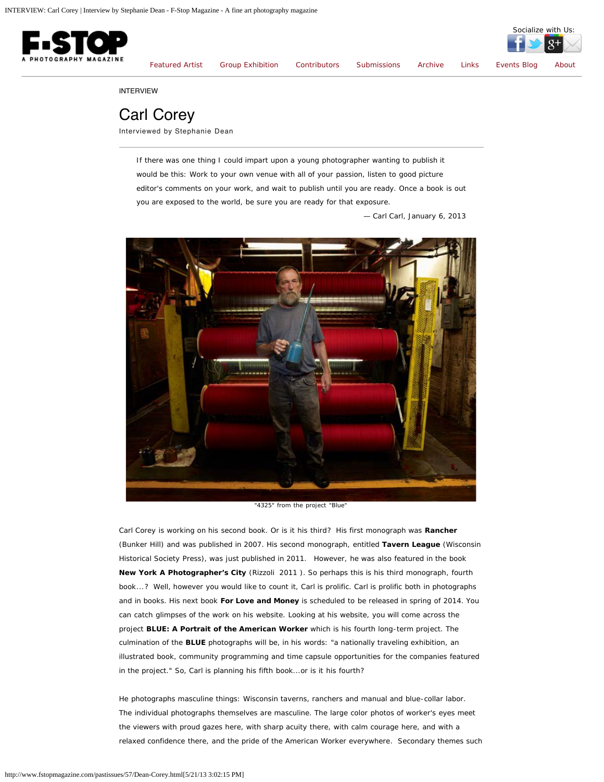<span id="page-0-0"></span>

Socialize with Us:

INTERVIEW

## Carl Corey

Interviewed by Stephanie Dean

*If there was one thing I could impart upon a young photographer wanting to publish it would be this: Work to your own venue with all of your passion, listen to good picture editor's comments on your work, and wait to publish until you are ready. Once a book is out you are exposed to the world, be sure you are ready for that exposure.*

*— Carl Carl, January 6, 2013*



"4325" from the project "Blue"

Carl Corey is working on his second book. Or is it his third? His first monograph was *Rancher* (Bunker Hill) and was published in 2007. His second monograph, entitled *Tavern League* (Wisconsin Historical Society Press), was just published in 2011. However, he was also featured in the book *New York A Photographer's City* (Rizzoli 2011 ). So perhaps this is his third *monograph*, fourth *book*...? Well, however you would like to count it, Carl is prolific. Carl is prolific both in photographs and in books. His next book *For Love and Money* is scheduled to be released in spring of 2014. You can catch glimpses of the work on his website. Looking at his website, you will come across the project *BLUE: A Portrait of the American Worker* which is his fourth long-term project. The culmination of the *BLUE* photographs will be, in his words: "a nationally traveling exhibition, an illustrated book, community programming and time capsule opportunities for the companies featured in the project." So, Carl is planning his fifth book...or is it his fourth?

He photographs masculine things: Wisconsin taverns, ranchers and manual and blue-collar labor. The individual photographs themselves are masculine. The large color photos of worker's eyes meet the viewers with proud gazes here, with sharp acuity there, with calm courage here, and with a relaxed confidence there, and the pride of the American Worker *everywhere*. Secondary themes such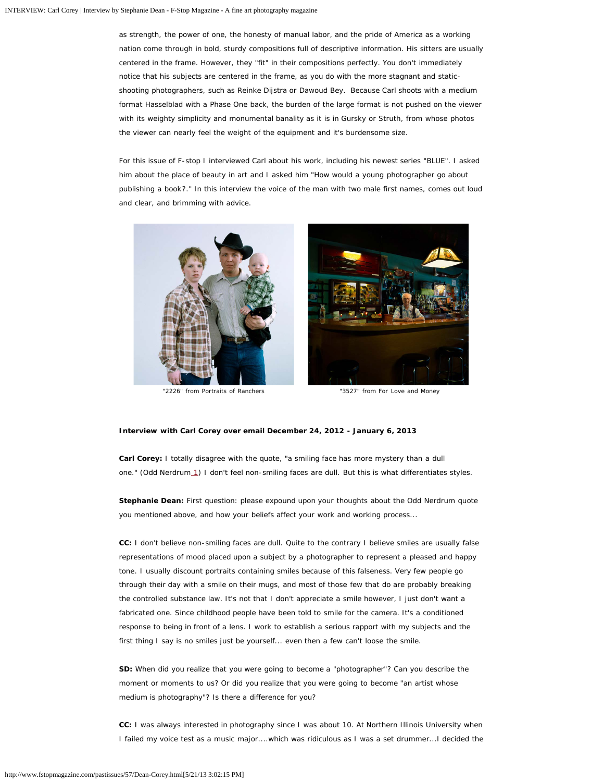as strength, the power of one, the honesty of manual labor, and the pride of America as a working nation come through in bold, sturdy compositions full of descriptive information. His sitters are usually centered in the frame. However, they "fit" in their compositions perfectly. You don't immediately notice that his subjects are centered in the frame, as you do with the more stagnant and staticshooting photographers, such as Reinke Dijstra or Dawoud Bey. Because Carl shoots with a medium format Hasselblad with a Phase One back, the burden of the large format is not pushed on the viewer with its weighty simplicity and monumental banality as it is in Gursky or Struth, from whose photos the viewer can nearly feel the weight of the equipment and it's burdensome size.

For this issue of F-stop I interviewed Carl about his work, including his newest series "BLUE". I asked him about the place of beauty in art and I asked him "How would a young photographer go about publishing a book?." In this interview the voice of the man with two male first names, comes out loud and clear, and brimming with advice.





"2226" from Portraits of Ranchers "3527" from For Love and Money

## **Interview with Carl Corey over email December 24, 2012 - January 6, 2013**

**Carl Corey:** I totally disagree with the quote, "a smiling face has more mystery than a dull one." (Odd Nerdrum [1](#page-0-0)) I don't feel non-smiling faces are dull. But this is what differentiates styles.

**Stephanie Dean:** First question: please expound upon your thoughts about the Odd Nerdrum quote you mentioned above, and how your beliefs affect your work and working process...

**CC:** I don't believe non-smiling faces are dull. Quite to the contrary I believe smiles are usually false representations of mood placed upon a subject by a photographer to represent a pleased and happy tone. I usually discount portraits containing smiles because of this falseness. Very few people go through their day with a smile on their mugs, and most of those few that do are probably breaking the controlled substance law. It's not that I don't appreciate a smile however, I just don't want a fabricated one. Since childhood people have been told to smile for the camera. It's a conditioned response to being in front of a lens. I work to establish a serious rapport with my subjects and the first thing I say is no smiles just be yourself... even then a few can't loose the smile.

**SD:** When did you realize that you were going to become a "photographer"? Can you describe the moment or moments to us? Or did you realize that you were going to become "an artist whose medium is photography"? Is there a difference for you?

**CC:** I was always interested in photography since I was about 10. At Northern Illinois University when I failed my voice test as a music major....which was ridiculous as I was a set drummer...I decided the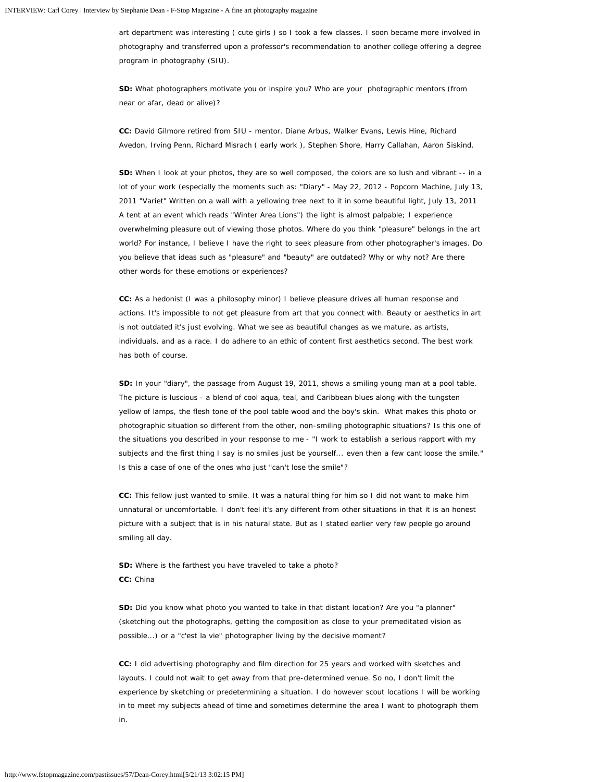art department was interesting ( cute girls ) so I took a few classes. I soon became more involved in photography and transferred upon a professor's recommendation to another college offering a degree program in photography (SIU).

**SD:** What photographers motivate you or inspire you? Who are your photographic mentors (from near or afar, dead or alive)?

**CC:** David Gilmore retired from SIU - mentor. Diane Arbus, Walker Evans, Lewis Hine, Richard Avedon, Irving Penn, Richard Misrach ( early work ), Stephen Shore, Harry Callahan, Aaron Siskind.

**SD:** When I look at your photos, they are so well composed, the colors are so lush and vibrant -- in a lot of your work (especially the moments such as: "Diary" - May 22, 2012 - Popcorn Machine, July 13, 2011 "Variet" Written on a wall with a yellowing tree next to it in some beautiful light, July 13, 2011 A tent at an event which reads "Winter Area Lions") the light is almost palpable; I experience overwhelming pleasure out of viewing those photos. Where do you think "pleasure" belongs in the art world? For instance, I believe I have the right to seek pleasure from other photographer's images. Do you believe that ideas such as "pleasure" and "beauty" are outdated? Why or why not? Are there other words for these emotions or experiences?

**CC:** As a hedonist (I was a philosophy minor) I believe pleasure drives all human response and actions. It's impossible to not get pleasure from art that you connect with. Beauty or aesthetics in art is not outdated it's just evolving. What we see as beautiful changes as we mature, as artists, individuals, and as a race. I do adhere to an ethic of content first aesthetics second. The best work has both of course.

**SD:** In your "diary", the passage from August 19, 2011, shows a smiling young man at a pool table. The picture is luscious - a blend of cool aqua, teal, and Caribbean blues along with the tungsten yellow of lamps, the flesh tone of the pool table wood and the boy's skin. What makes this photo or photographic situation so different from the other, non-smiling photographic situations? Is this one of the situations you described in your response to me - *"I work to establish a serious rapport with my subjects and the first thing I say is no smiles just be yourself... even then a few cant loose the smile."* Is this a case of one of the ones who just "can't lose the smile"?

**CC:** This fellow just wanted to smile. It was a natural thing for him so I did not want to make him unnatural or uncomfortable. I don't feel it's any different from other situations in that it is an honest picture with a subject that is in his natural state. But as I stated earlier very few people go around smiling all day.

**SD:** Where is the farthest you have traveled to take a photo? **CC:** China

**SD:** Did you know what photo you wanted to take in that distant location? Are you "a planner" (sketching out the photographs, getting the composition as close to your premeditated vision as possible...) or a "c'est la vie" photographer living by the decisive moment?

**CC:** I did advertising photography and film direction for 25 years and worked with sketches and layouts. I could not wait to get away from that pre-determined venue. So no, I don't limit the experience by sketching or predetermining a situation. I do however scout locations I will be working in to meet my subjects ahead of time and sometimes determine the area I want to photograph them in.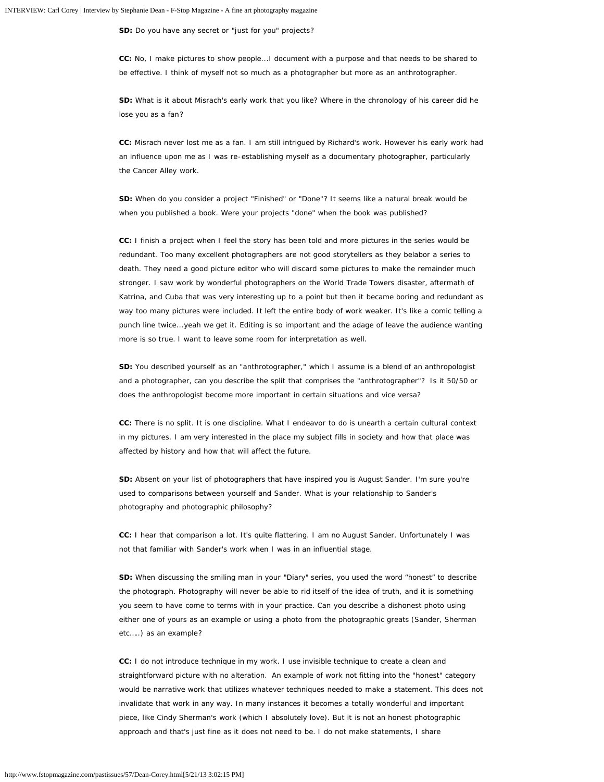**SD:** Do you have any secret or "just for you" projects?

**CC:** No, I make pictures to show people...I document with a purpose and that needs to be shared to be effective. I think of myself not so much as a photographer but more as an anthrotographer.

**SD:** What is it about Misrach's early work that you like? Where in the chronology of his career did he lose you as a fan?

**CC:** Misrach never lost me as a fan. I am still intrigued by Richard's work. However his early work had an influence upon me as I was re-establishing myself as a documentary photographer, particularly the *Cancer Alley* work.

**SD:** When do you consider a project "Finished" or "Done"? It seems like a natural break would be when you published a book. Were your projects "done" when the book was published?

**CC:** I finish a project when I feel the story has been told and more pictures in the series would be redundant. Too many excellent photographers are not good storytellers as they belabor a series to death. They need a good picture editor who will discard some pictures to make the remainder much stronger. I saw work by wonderful photographers on the World Trade Towers disaster, aftermath of Katrina, and Cuba that was very interesting up to a point but then it became boring and redundant as way too many pictures were included. It left the entire body of work weaker. It's like a comic telling a punch line twice...yeah we get it. Editing is so important and the adage of *leave the audience wanting more* is so true. I want to leave some room for interpretation as well.

**SD:** You described yourself as an "anthrotographer," which I assume is a blend of an anthropologist and a photographer, can you describe the split that comprises the "anthrotographer"? Is it 50/50 or does the anthropologist become more important in certain situations and vice versa?

**CC:** There is no split. It is one discipline. What I endeavor to do is unearth a certain cultural context in my pictures. I am very interested in the place my subject fills in society and how that place was affected by history and how that will affect the future.

**SD:** Absent on your list of photographers that have inspired you is August Sander. I'm sure you're used to comparisons between yourself and Sander. What is your relationship to Sander's photography and photographic philosophy?

**CC:** I hear that comparison a lot. It's quite flattering. I am no August Sander. Unfortunately I was not that familiar with Sander's work when I was in an influential stage.

**SD:** When discussing the smiling man in your "Diary" series, you used the word "honest" to describe the photograph. Photography will never be able to rid itself of the idea of truth, and it is something you seem to have come to terms with in your practice. Can you describe a dishonest photo using either one of yours as an example or using a photo from the photographic greats (Sander, Sherman etc…..) as an example?

**CC:** I do not introduce technique in my work. I use invisible technique to create a clean and straightforward picture with no alteration. An example of work not fitting into the "honest" category would be narrative work that utilizes whatever techniques needed to make a statement. This does not invalidate that work in any way. In many instances it becomes a totally wonderful and important piece, like Cindy Sherman's work (which I absolutely love). But it is not an honest photographic approach and that's just fine as it does not need to be. I do not make statements, I share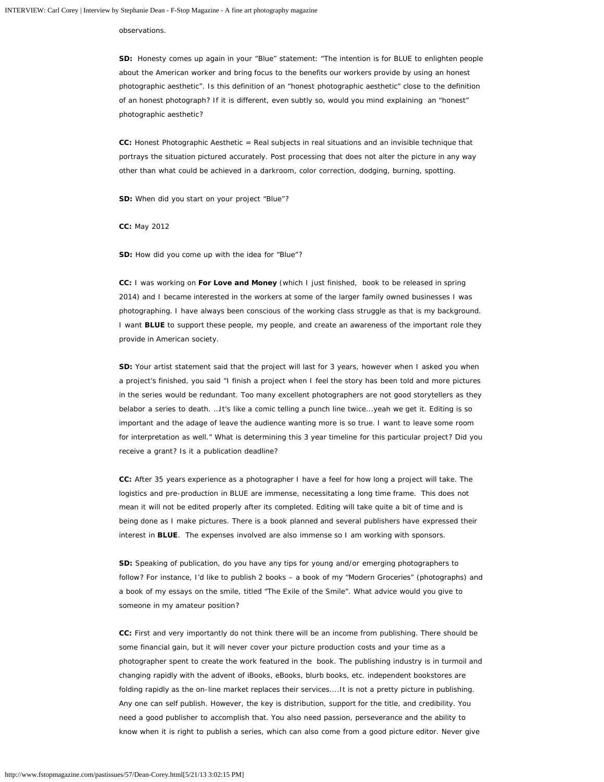observations.

**SD:** Honesty comes up again in your "Blue" statement: "The intention is for BLUE to enlighten people about the American worker and bring focus to the benefits our workers provide by using an honest photographic aesthetic". Is this definition of an "honest photographic aesthetic" close to the definition of an honest photograph? If it is different, even subtly so, would you mind explaining an "honest" photographic aesthetic?

**CC:** Honest Photographic Aesthetic = Real subjects in real situations and an invisible technique that portrays the situation pictured accurately. Post processing that does not alter the picture in any way other than what could be achieved in a darkroom, color correction, dodging, burning, spotting.

**SD:** When did you start on your project "Blue"?

**CC:** May 2012

**SD:** How did you come up with the idea for "Blue"?

**CC:** I was working on *For Love and Money* (which I just finished, book to be released in spring 2014) and I became interested in the workers at some of the larger family owned businesses I was photographing. I have always been conscious of the working class struggle as that is my background. I want **BLUE** to support these people, my people, and create an awareness of the important role they provide in American society.

**SD:** Your artist statement said that the project will last for 3 years, however when I asked you when a project's finished, you said "I finish a project when I feel the story has been told and more pictures in the series would be redundant. Too many excellent photographers are not good storytellers as they belabor a series to death. …It's like a comic telling a punch line twice...yeah we get it. Editing is so important and the adage of leave the audience wanting more is so true. I want to leave some room for interpretation as well." What is determining this 3 year timeline for this particular project? Did you receive a grant? Is it a publication deadline?

**CC:** After 35 years experience as a photographer I have a feel for how long a project will take. The logistics and pre-production in BLUE are immense, necessitating a long time frame. This does not mean it will not be edited properly after its completed. Editing will take quite a bit of time and is being done as I make pictures. There is a book planned and several publishers have expressed their interest in **BLUE**. The expenses involved are also immense so I am working with sponsors.

**SD:** Speaking of publication, do you have any tips for young and/or emerging photographers to follow? For instance, I'd like to publish 2 books – a book of my "Modern Groceries" (photographs) and a book of my essays on the smile, titled "The Exile of the Smile". What advice would you give to someone in my amateur position?

**CC:** First and very importantly do not think there will be an income from publishing. There should be some financial gain, but it will never cover your picture production costs and your time as a photographer spent to create the work featured in the book. The publishing industry is in turmoil and changing rapidly with the advent of iBooks, eBooks, blurb books, etc. independent bookstores are folding rapidly as the on-line market replaces their services....It is not a pretty picture in publishing. Any one can self publish. However, the key is distribution, support for the title, and credibility. You need a good publisher to accomplish that. You also need passion, perseverance and the ability to know when it is right to publish a series, which can also come from a good picture editor. Never give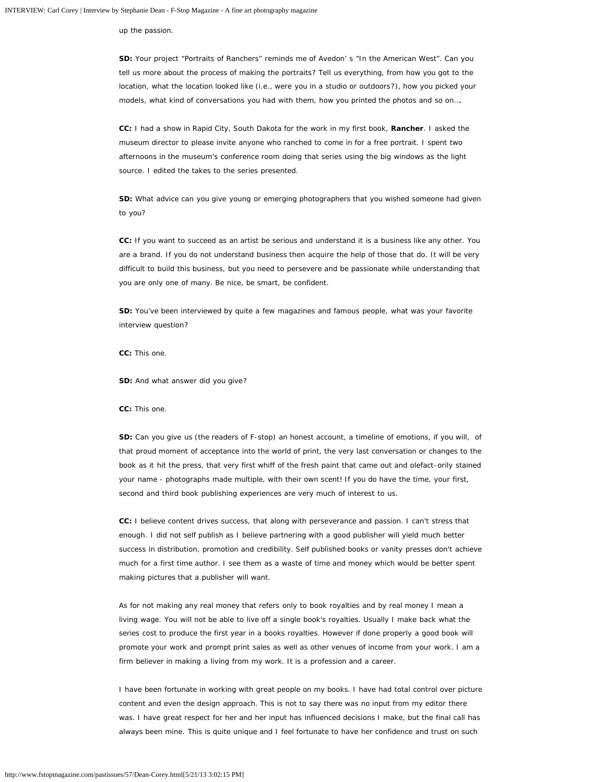up the passion.

**SD:** Your project "Portraits of Ranchers" reminds me of Avedon' s "In the American West". Can you tell us more about the process of making the portraits? Tell us everything, from how you got to the location, what the location looked like (i.e., were you in a studio or outdoors?), how you picked your models, what kind of conversations you had with them, how you printed the photos and so on….

**CC:** I had a show in Rapid City, South Dakota for the work in my first book, *Rancher*. I asked the museum director to please invite anyone who ranched to come in for a free portrait. I spent two afternoons in the museum's conference room doing that series using the big windows as the light source. I edited the takes to the series presented.

**SD:** What advice can you give young or emerging photographers that you wished someone had given to you?

**CC:** If you want to succeed as an artist be serious and understand it is a business like any other. You are a brand. If you do not understand business then acquire the help of those that do. It will be very difficult to build this business, but you need to persevere and be passionate while understanding that you are only one of many. Be nice, be smart, be confident.

**SD:** You've been interviewed by quite a few magazines and famous people, what was your favorite interview question?

**CC:** This one.

**SD:** And what answer did you give?

**CC:** This one.

**SD:** Can you give us (the readers of F-stop) an honest account, a timeline of emotions, if you will, of that proud moment of acceptance into the world of print, the very last conversation or changes to the book as it hit the press, that very first whiff of the fresh paint that came out and olefact-orily stained your name - photographs made multiple, with their own scent! If you do have the time, your first, second and third book publishing experiences are very much of interest to us.

**CC:** I believe content drives success, that along with perseverance and passion. I can't stress that enough. I did not self publish as I believe partnering with a good publisher will yield much better success in distribution, promotion and credibility. Self published books or vanity presses don't achieve much for a first time author. I see them as a waste of time and money which would be better spent making pictures that a publisher will want.

As for not making any real money that refers only to book royalties and by real money I mean a living wage. You will not be able to live off a single book's royalties. Usually I make back what the series cost to produce the first year in a books royalties. However if done properly a good book will promote your work and prompt print sales as well as other venues of income from your work. I am a firm believer in making a living from my work. It is a profession and a career.

I have been fortunate in working with great people on my books. I have had total control over picture content and even the design approach. This is not to say there was no input from my editor there was. I have great respect for her and her input has influenced decisions I make, but the final call has always been mine. This is quite unique and I feel fortunate to have her confidence and trust on such